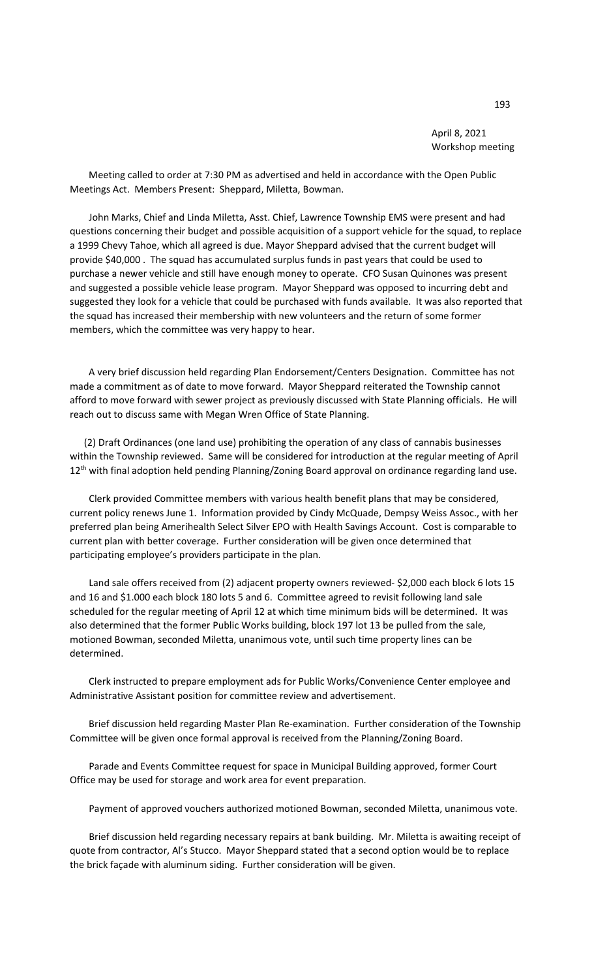April 8, 2021 Workshop meeting

 Meeting called to order at 7:30 PM as advertised and held in accordance with the Open Public Meetings Act. Members Present: Sheppard, Miletta, Bowman.

 John Marks, Chief and Linda Miletta, Asst. Chief, Lawrence Township EMS were present and had questions concerning their budget and possible acquisition of a support vehicle for the squad, to replace a 1999 Chevy Tahoe, which all agreed is due. Mayor Sheppard advised that the current budget will provide \$40,000 . The squad has accumulated surplus funds in past years that could be used to purchase a newer vehicle and still have enough money to operate. CFO Susan Quinones was present and suggested a possible vehicle lease program. Mayor Sheppard was opposed to incurring debt and suggested they look for a vehicle that could be purchased with funds available. It was also reported that the squad has increased their membership with new volunteers and the return of some former members, which the committee was very happy to hear.

 A very brief discussion held regarding Plan Endorsement/Centers Designation. Committee has not made a commitment as of date to move forward. Mayor Sheppard reiterated the Township cannot afford to move forward with sewer project as previously discussed with State Planning officials. He will reach out to discuss same with Megan Wren Office of State Planning.

 (2) Draft Ordinances (one land use) prohibiting the operation of any class of cannabis businesses within the Township reviewed. Same will be considered for introduction at the regular meeting of April 12<sup>th</sup> with final adoption held pending Planning/Zoning Board approval on ordinance regarding land use.

 Clerk provided Committee members with various health benefit plans that may be considered, current policy renews June 1. Information provided by Cindy McQuade, Dempsy Weiss Assoc., with her preferred plan being Amerihealth Select Silver EPO with Health Savings Account. Cost is comparable to current plan with better coverage. Further consideration will be given once determined that participating employee's providers participate in the plan.

 Land sale offers received from (2) adjacent property owners reviewed- \$2,000 each block 6 lots 15 and 16 and \$1.000 each block 180 lots 5 and 6. Committee agreed to revisit following land sale scheduled for the regular meeting of April 12 at which time minimum bids will be determined. It was also determined that the former Public Works building, block 197 lot 13 be pulled from the sale, motioned Bowman, seconded Miletta, unanimous vote, until such time property lines can be determined.

 Clerk instructed to prepare employment ads for Public Works/Convenience Center employee and Administrative Assistant position for committee review and advertisement.

 Brief discussion held regarding Master Plan Re-examination. Further consideration of the Township Committee will be given once formal approval is received from the Planning/Zoning Board.

 Parade and Events Committee request for space in Municipal Building approved, former Court Office may be used for storage and work area for event preparation.

Payment of approved vouchers authorized motioned Bowman, seconded Miletta, unanimous vote.

 Brief discussion held regarding necessary repairs at bank building. Mr. Miletta is awaiting receipt of quote from contractor, Al's Stucco. Mayor Sheppard stated that a second option would be to replace the brick façade with aluminum siding. Further consideration will be given.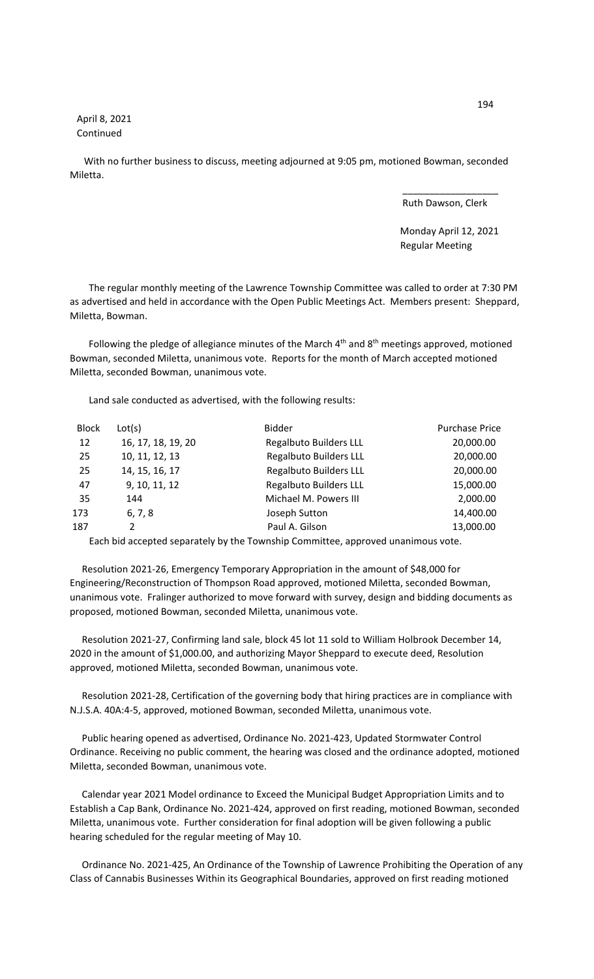April 8, 2021 Continued

 With no further business to discuss, meeting adjourned at 9:05 pm, motioned Bowman, seconded Miletta.

 $\overline{\phantom{a}}$  , and the contract of the contract of the contract of the contract of the contract of the contract of the contract of the contract of the contract of the contract of the contract of the contract of the contrac

Ruth Dawson, Clerk

 Monday April 12, 2021 Regular Meeting

 The regular monthly meeting of the Lawrence Township Committee was called to order at 7:30 PM as advertised and held in accordance with the Open Public Meetings Act. Members present: Sheppard, Miletta, Bowman.

Following the pledge of allegiance minutes of the March 4<sup>th</sup> and 8<sup>th</sup> meetings approved, motioned Bowman, seconded Miletta, unanimous vote. Reports for the month of March accepted motioned Miletta, seconded Bowman, unanimous vote.

Land sale conducted as advertised, with the following results:

| <b>Block</b> | Lot(s)             | <b>Bidder</b>                 | <b>Purchase Price</b> |
|--------------|--------------------|-------------------------------|-----------------------|
| 12           | 16, 17, 18, 19, 20 | <b>Regalbuto Builders LLL</b> | 20,000.00             |
| 25           | 10, 11, 12, 13     | <b>Regalbuto Builders LLL</b> | 20,000.00             |
| 25           | 14, 15, 16, 17     | <b>Regalbuto Builders LLL</b> | 20,000.00             |
| 47           | 9, 10, 11, 12      | <b>Regalbuto Builders LLL</b> | 15,000.00             |
| 35           | 144                | Michael M. Powers III         | 2,000.00              |
| 173          | 6, 7, 8            | Joseph Sutton                 | 14,400.00             |
| 187          | $\mathcal{P}$      | Paul A. Gilson                | 13,000.00             |
|              |                    |                               |                       |

Each bid accepted separately by the Township Committee, approved unanimous vote.

 Resolution 2021-26, Emergency Temporary Appropriation in the amount of \$48,000 for Engineering/Reconstruction of Thompson Road approved, motioned Miletta, seconded Bowman, unanimous vote. Fralinger authorized to move forward with survey, design and bidding documents as proposed, motioned Bowman, seconded Miletta, unanimous vote.

 Resolution 2021-27, Confirming land sale, block 45 lot 11 sold to William Holbrook December 14, 2020 in the amount of \$1,000.00, and authorizing Mayor Sheppard to execute deed, Resolution approved, motioned Miletta, seconded Bowman, unanimous vote.

 Resolution 2021-28, Certification of the governing body that hiring practices are in compliance with N.J.S.A. 40A:4-5, approved, motioned Bowman, seconded Miletta, unanimous vote.

 Public hearing opened as advertised, Ordinance No. 2021-423, Updated Stormwater Control Ordinance. Receiving no public comment, the hearing was closed and the ordinance adopted, motioned Miletta, seconded Bowman, unanimous vote.

 Calendar year 2021 Model ordinance to Exceed the Municipal Budget Appropriation Limits and to Establish a Cap Bank, Ordinance No. 2021-424, approved on first reading, motioned Bowman, seconded Miletta, unanimous vote. Further consideration for final adoption will be given following a public hearing scheduled for the regular meeting of May 10.

 Ordinance No. 2021-425, An Ordinance of the Township of Lawrence Prohibiting the Operation of any Class of Cannabis Businesses Within its Geographical Boundaries, approved on first reading motioned